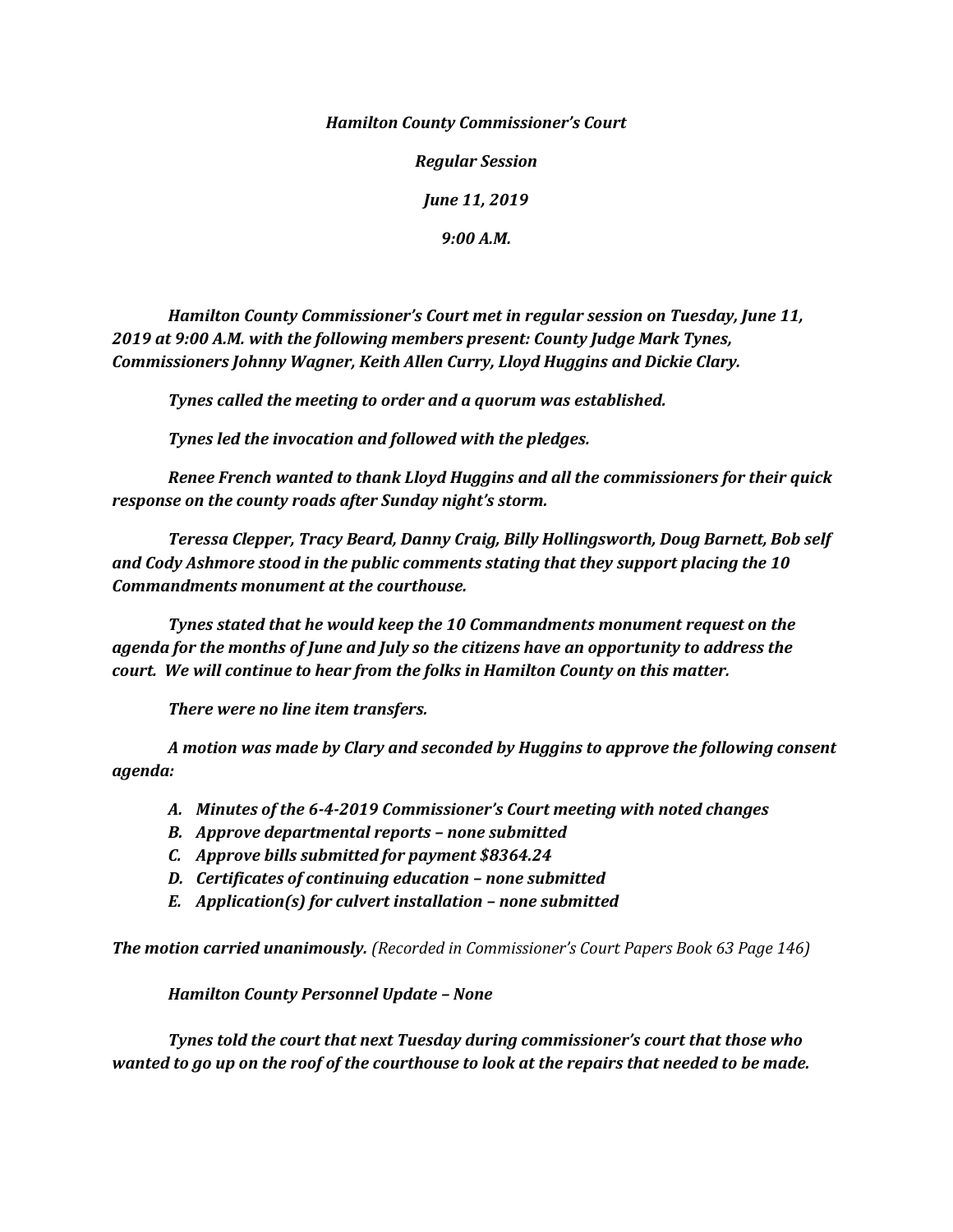*Hamilton County Commissioner's Court*

*Regular Session*

*June 11, 2019*

*9:00 A.M.*

*Hamilton County Commissioner's Court met in regular session on Tuesday, June 11, 2019 at 9:00 A.M. with the following members present: County Judge Mark Tynes, Commissioners Johnny Wagner, Keith Allen Curry, Lloyd Huggins and Dickie Clary.*

*Tynes called the meeting to order and a quorum was established.*

*Tynes led the invocation and followed with the pledges.*

*Renee French wanted to thank Lloyd Huggins and all the commissioners for their quick response on the county roads after Sunday night's storm.*

*Teressa Clepper, Tracy Beard, Danny Craig, Billy Hollingsworth, Doug Barnett, Bob self and Cody Ashmore stood in the public comments stating that they support placing the 10 Commandments monument at the courthouse.*

*Tynes stated that he would keep the 10 Commandments monument request on the agenda for the months of June and July so the citizens have an opportunity to address the court. We will continue to hear from the folks in Hamilton County on this matter.*

*There were no line item transfers.*

*A motion was made by Clary and seconded by Huggins to approve the following consent agenda:*

- *A. Minutes of the 6-4-2019 Commissioner's Court meeting with noted changes*
- *B. Approve departmental reports – none submitted*
- *C. Approve bills submitted for payment \$8364.24*
- *D. Certificates of continuing education – none submitted*
- *E. Application(s) for culvert installation – none submitted*

*The motion carried unanimously. (Recorded in Commissioner's Court Papers Book 63 Page 146)*

*Hamilton County Personnel Update – None*

*Tynes told the court that next Tuesday during commissioner's court that those who wanted to go up on the roof of the courthouse to look at the repairs that needed to be made.*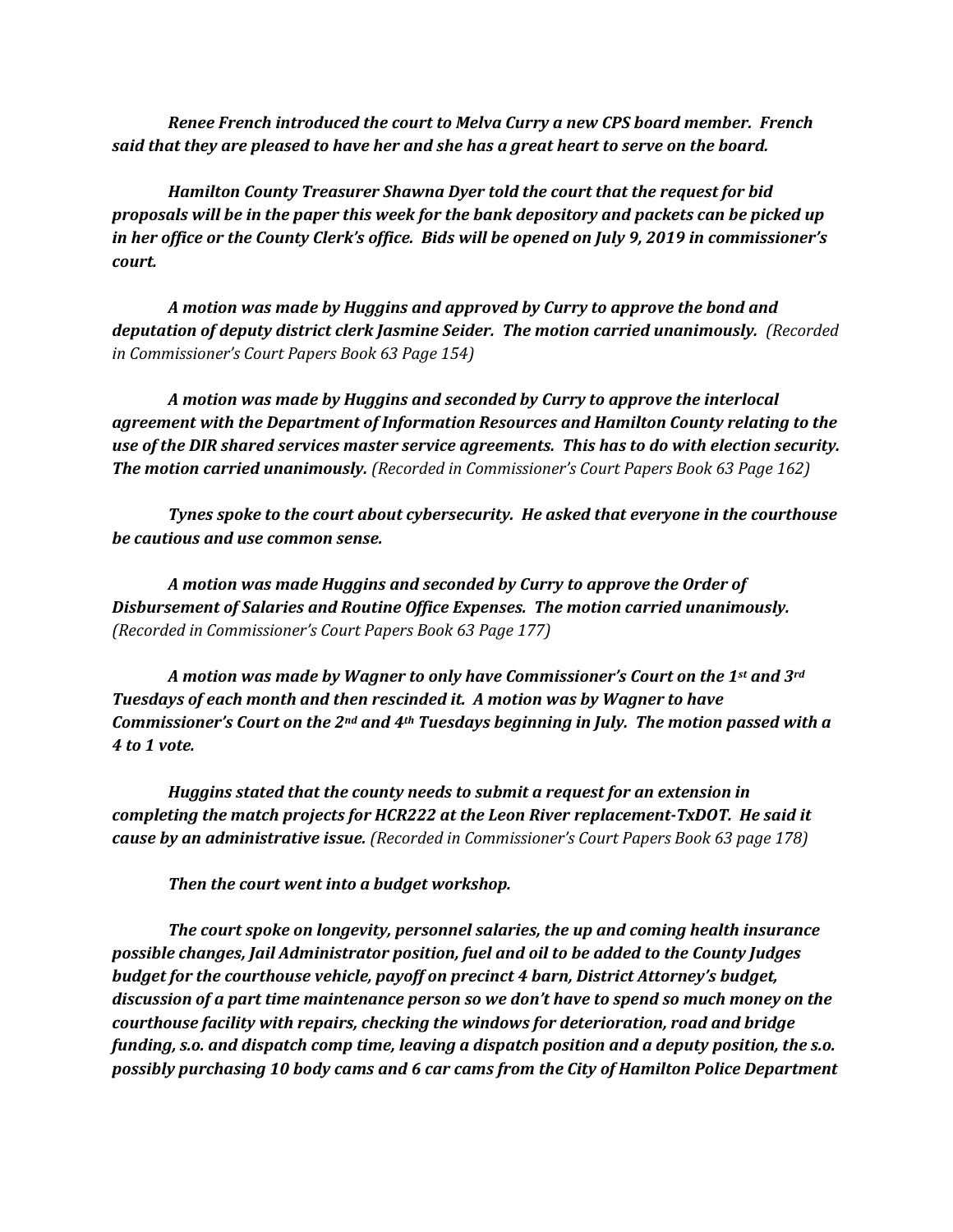*Renee French introduced the court to Melva Curry a new CPS board member. French said that they are pleased to have her and she has a great heart to serve on the board.*

*Hamilton County Treasurer Shawna Dyer told the court that the request for bid proposals will be in the paper this week for the bank depository and packets can be picked up in her office or the County Clerk's office. Bids will be opened on July 9, 2019 in commissioner's court.*

*A motion was made by Huggins and approved by Curry to approve the bond and deputation of deputy district clerk Jasmine Seider. The motion carried unanimously. (Recorded in Commissioner's Court Papers Book 63 Page 154)*

*A motion was made by Huggins and seconded by Curry to approve the interlocal agreement with the Department of Information Resources and Hamilton County relating to the use of the DIR shared services master service agreements. This has to do with election security. The motion carried unanimously. (Recorded in Commissioner's Court Papers Book 63 Page 162)*

*Tynes spoke to the court about cybersecurity. He asked that everyone in the courthouse be cautious and use common sense.*

*A motion was made Huggins and seconded by Curry to approve the Order of Disbursement of Salaries and Routine Office Expenses. The motion carried unanimously. (Recorded in Commissioner's Court Papers Book 63 Page 177)*

*A motion was made by Wagner to only have Commissioner's Court on the 1st and 3rd Tuesdays of each month and then rescinded it. A motion was by Wagner to have Commissioner's Court on the 2nd and 4th Tuesdays beginning in July. The motion passed with a 4 to 1 vote.* 

*Huggins stated that the county needs to submit a request for an extension in completing the match projects for HCR222 at the Leon River replacement-TxDOT. He said it cause by an administrative issue. (Recorded in Commissioner's Court Papers Book 63 page 178)*

*Then the court went into a budget workshop.*

*The court spoke on longevity, personnel salaries, the up and coming health insurance possible changes, Jail Administrator position, fuel and oil to be added to the County Judges budget for the courthouse vehicle, payoff on precinct 4 barn, District Attorney's budget, discussion of a part time maintenance person so we don't have to spend so much money on the courthouse facility with repairs, checking the windows for deterioration, road and bridge funding, s.o. and dispatch comp time, leaving a dispatch position and a deputy position, the s.o. possibly purchasing 10 body cams and 6 car cams from the City of Hamilton Police Department*